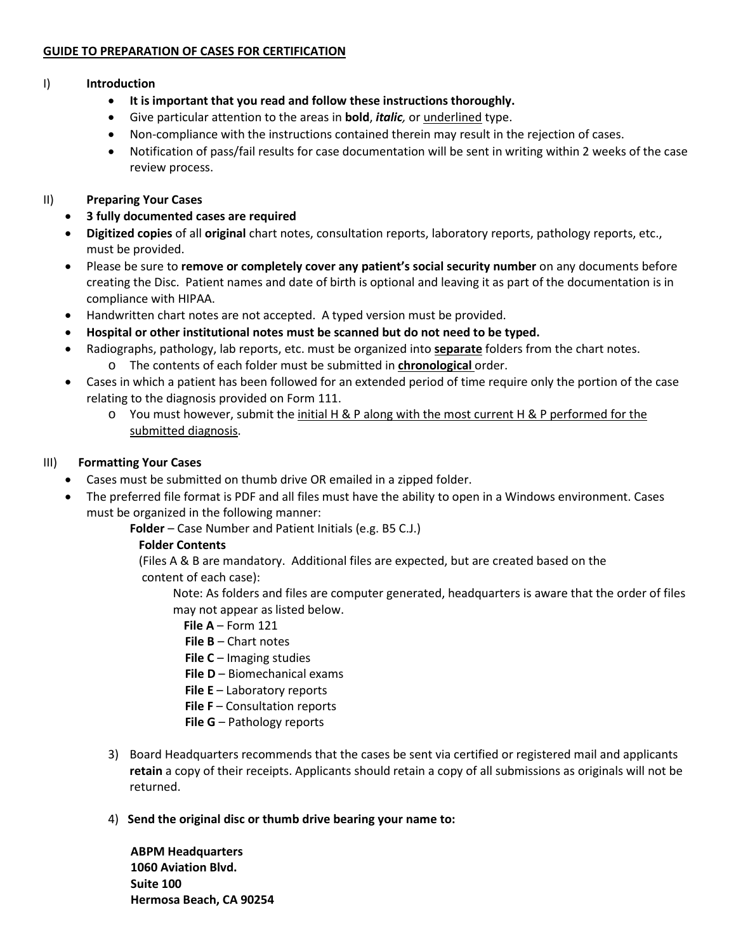## **GUIDE TO PREPARATION OF CASES FOR CERTIFICATION**

### I) **Introduction**

- **It is important that you read and follow these instructions thoroughly.**
- Give particular attention to the areas in **bold**, *italic,* or underlined type.
- Non-compliance with the instructions contained therein may result in the rejection of cases.
- Notification of pass/fail results for case documentation will be sent in writing within 2 weeks of the case review process.

## II) **Preparing Your Cases**

- **3 fully documented cases are required**
- **Digitized copies** of all **original** chart notes, consultation reports, laboratory reports, pathology reports, etc., must be provided.
- Please be sure to **remove or completely cover any patient's social security number** on any documents before creating the Disc. Patient names and date of birth is optional and leaving it as part of the documentation is in compliance with HIPAA.
- Handwritten chart notes are not accepted. A typed version must be provided.
- **Hospital or other institutional notes must be scanned but do not need to be typed.**
- Radiographs, pathology, lab reports, etc. must be organized into **separate** folders from the chart notes.
	- o The contents of each folder must be submitted in **chronological** order.
- Cases in which a patient has been followed for an extended period of time require only the portion of the case relating to the diagnosis provided on Form 111.
	- $\circ$  You must however, submit the initial H & P along with the most current H & P performed for the submitted diagnosis.

### III) **Formatting Your Cases**

- Cases must be submitted on thumb drive OR emailed in a zipped folder.
- The preferred file format is PDF and all files must have the ability to open in a Windows environment. Cases must be organized in the following manner:

**Folder** – Case Number and Patient Initials (e.g. B5 C.J.)

# **Folder Contents**

 (Files A & B are mandatory. Additional files are expected, but are created based on the content of each case):

Note: As folders and files are computer generated, headquarters is aware that the order of files may not appear as listed below.

- **File A** Form 121
- **File B** Chart notes
- **File C**  Imaging studies
- **File D** Biomechanical exams
- **File E**  Laboratory reports
- **File F**  Consultation reports
- **File G**  Pathology reports
- 3) Board Headquarters recommends that the cases be sent via certified or registered mail and applicants **retain** a copy of their receipts. Applicants should retain a copy of all submissions as originals will not be returned.
- 4) **Send the original disc or thumb drive bearing your name to:**

**ABPM Headquarters 1060 Aviation Blvd. Suite 100 Hermosa Beach, CA 90254**